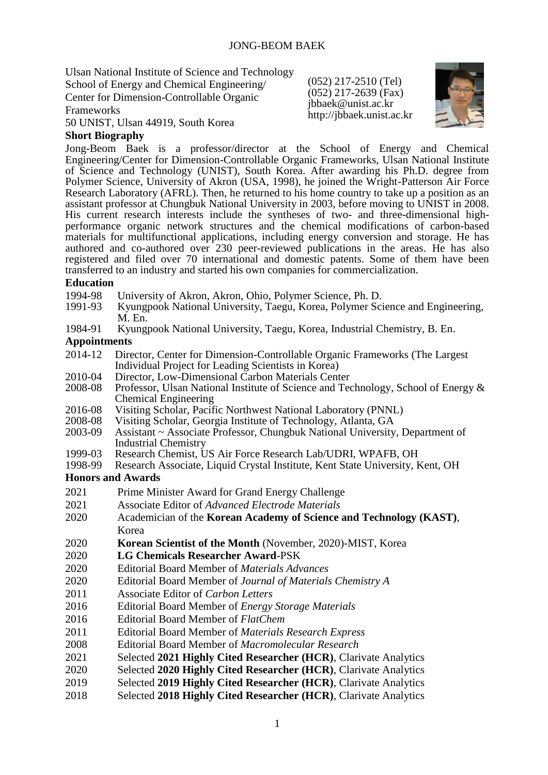Ulsan National Institute of Science and Technology School of Energy and Chemical Engineering/ Center for Dimension-Controllable Organic Frameworks

(052) 217-2510 (Tel) (052) 217-2639 (Fax) jbbaek@unist.ac.kr http://jbbaek.unist.ac.kr



### 50 UNIST, Ulsan 44919, South Korea **Short Biography**

Jong-Beom Baek is a professor/director at the School of Energy and Chemical Engineering/Center for Dimension-Controllable Organic Frameworks, Ulsan National Institute of Science and Technology (UNIST), South Korea. After awarding his Ph.D. degree from Polymer Science, University of Akron (USA, 1998), he joined the Wright-Patterson Air Force Research Laboratory (AFRL). Then, he returned to his home country to take up a position as an assistant professor at Chungbuk National University in 2003, before moving to UNIST in 2008. His current research interests include the syntheses of two- and three-dimensional highperformance organic network structures and the chemical modifications of carbon-based materials for multifunctional applications, including energy conversion and storage. He has authored and co-authored over 230 peer-reviewed publications in the areas. He has also registered and filed over 70 international and domestic patents. Some of them have been transferred to an industry and started his own companies for commercialization.

## **Education**

- 1994-98 University of Akron, Akron, Ohio, Polymer Science, Ph. D.<br>1991-93 Kyungpook National University, Taegu, Korea, Polymer Sci
- Kyungpook National University, Taegu, Korea, Polymer Science and Engineering, M. En.
- 1984-91 Kyungpook National University, Taegu, Korea, Industrial Chemistry, B. En.

# **Appointments**

- 2014-12 Director, Center for Dimension-Controllable Organic Frameworks (The Largest Individual Project for Leading Scientists in Korea)
- 2010-04 Director, Low-Dimensional Carbon Materials Center<br>2008-08 Professor, Ulsan National Institute of Science and Tea
- Professor, Ulsan National Institute of Science and Technology, School of Energy & Chemical Engineering
- 2016-08 Visiting Scholar, Pacific Northwest National Laboratory (PNNL)<br>2008-08 Visiting Scholar, Georgia Institute of Technology, Atlanta, GA
- 2008-08 Visiting Scholar, Georgia Institute of Technology, Atlanta, GA<br>2003-09 Assistant ~ Associate Professor, Chungbuk National University
- Assistant ~ Associate Professor, Chungbuk National University, Department of Industrial Chemistry
- 1999-03 Research Chemist, US Air Force Research Lab/UDRI, WPAFB, OH<br>1998-99 Research Associate, Liquid Crystal Institute, Kent State University, F
- Research Associate, Liquid Crystal Institute, Kent State University, Kent, OH

## **Honors and Awards**

- 2021 Prime Minister Award for Grand Energy Challenge
- 2021 Associate Editor of *Advanced Electrode Materials*
- 2020 Academician of the **Korean Academy of Science and Technology (KAST)**, Korea
- 2020 **Korean Scientist of the Month** (November, 2020)-MIST, Korea
- 2020 **LG Chemicals Researcher Award**-PSK
- 2020 Editorial Board Member of *Materials Advances*
- 2020 Editorial Board Member of *Journal of Materials Chemistry A*
- 2011 Associate Editor of *Carbon Letters*
- 2016 Editorial Board Member of *Energy Storage Materials*
- 2016 Editorial Board Member of *FlatChem*
- 2011 Editorial Board Member of *Materials Research Express*
- 2008 Editorial Board Member of *Macromolecular Research*
- 2021 Selected **2021 Highly Cited Researcher (HCR)**, Clarivate Analytics
- 2020 Selected **2020 Highly Cited Researcher (HCR)**, Clarivate Analytics
- 2019 Selected **2019 Highly Cited Researcher (HCR)**, Clarivate Analytics
- 2018 Selected **2018 Highly Cited Researcher (HCR)**, Clarivate Analytics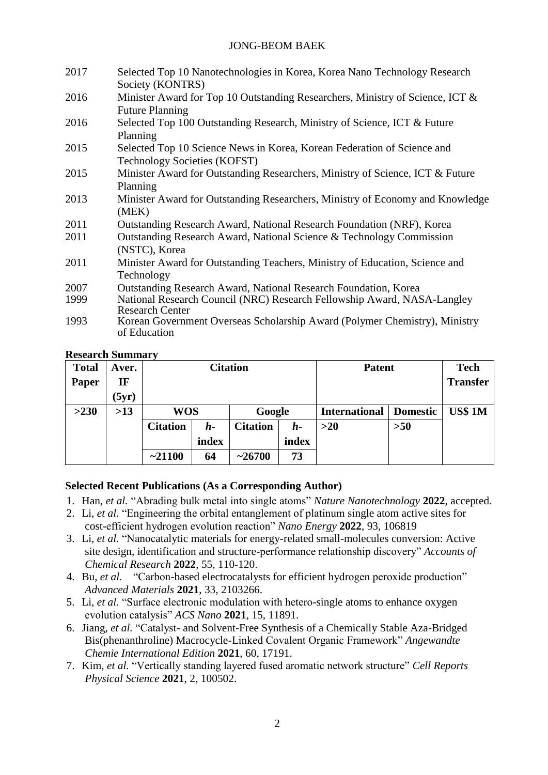## JONG-BEOM BAEK

| 2017 | Selected Top 10 Nanotechnologies in Korea, Korea Nano Technology Research     |  |  |  |  |  |
|------|-------------------------------------------------------------------------------|--|--|--|--|--|
|      | Society (KONTRS)                                                              |  |  |  |  |  |
| 2016 | Minister Award for Top 10 Outstanding Researchers, Ministry of Science, ICT & |  |  |  |  |  |
|      | <b>Future Planning</b>                                                        |  |  |  |  |  |
| 2016 | Selected Top 100 Outstanding Research, Ministry of Science, ICT & Future      |  |  |  |  |  |
|      | Planning                                                                      |  |  |  |  |  |
| 2015 | Selected Top 10 Science News in Korea, Korean Federation of Science and       |  |  |  |  |  |
|      | <b>Technology Societies (KOFST)</b>                                           |  |  |  |  |  |
| 2015 | Minister Award for Outstanding Researchers, Ministry of Science, ICT & Future |  |  |  |  |  |
|      | Planning                                                                      |  |  |  |  |  |
| 2013 | Minister Award for Outstanding Researchers, Ministry of Economy and Knowledge |  |  |  |  |  |
|      | (MEK)                                                                         |  |  |  |  |  |
| 2011 | Outstanding Research Award, National Research Foundation (NRF), Korea         |  |  |  |  |  |
| 2011 | Outstanding Research Award, National Science & Technology Commission          |  |  |  |  |  |
|      | (NSTC), Korea                                                                 |  |  |  |  |  |
| 2011 | Minister Award for Outstanding Teachers, Ministry of Education, Science and   |  |  |  |  |  |
|      | Technology                                                                    |  |  |  |  |  |
| 2007 | <b>Outstanding Research Award, National Research Foundation, Korea</b>        |  |  |  |  |  |
| 1999 | National Research Council (NRC) Research Fellowship Award, NASA-Langley       |  |  |  |  |  |
|      | <b>Research Center</b>                                                        |  |  |  |  |  |
| 1993 | Korean Government Overseas Scholarship Award (Polymer Chemistry), Ministry    |  |  |  |  |  |
|      | of Education                                                                  |  |  |  |  |  |
|      |                                                                               |  |  |  |  |  |

### **Research Summary**

| <b>Total</b> | Aver.                  | <b>Citation</b> |       |                 |       | <b>Patent</b>        |                 | <b>Tech</b>     |
|--------------|------------------------|-----------------|-------|-----------------|-------|----------------------|-----------------|-----------------|
| Paper        | $\mathbf{I}\mathbf{F}$ |                 |       |                 |       |                      |                 | <b>Transfer</b> |
|              | (5yr)                  |                 |       |                 |       |                      |                 |                 |
| >230         | >13                    | <b>WOS</b>      |       | Google          |       | <b>International</b> | <b>Domestic</b> | <b>US\$ 1M</b>  |
|              |                        | <b>Citation</b> | h-    | <b>Citation</b> | h-    | $>20$                | $>50$           |                 |
|              |                        |                 | index |                 | index |                      |                 |                 |
|              |                        | $-21100$        | 64    | ~26700          | 73    |                      |                 |                 |

# **Selected Recent Publications (As a Corresponding Author)**

- 1. Han, *et al.* "Abrading bulk metal into single atoms" *Nature Nanotechnology* **2022**, accepted.
- 2. Li, *et al.* "Engineering the orbital entanglement of platinum single atom active sites for cost-efficient hydrogen evolution reaction" *Nano Energy* **2022**, 93, 106819
- 3. Li, *et al.* "Nanocatalytic materials for energy-related small-molecules conversion: Active site design, identification and structure-performance relationship discovery" *Accounts of Chemical Research* **2022**, 55, 110-120.
- 4. Bu, *et al.* "Carbon-based electrocatalysts for efficient hydrogen peroxide production" *Advanced Materials* **2021**, 33, 2103266.
- 5. Li, *et al.* "Surface electronic modulation with hetero-single atoms to enhance oxygen evolution catalysis" *ACS Nano* **2021**, 15, 11891.
- 6. Jiang, *et al.* "Catalyst- and Solvent-Free Synthesis of a Chemically Stable Aza-Bridged Bis(phenanthroline) Macrocycle-Linked Covalent Organic Framework" *Angewandte Chemie International Edition* **2021**, 60, 17191.
- 7. Kim, *et al.* "Vertically standing layered fused aromatic network structure" *Cell Reports Physical Science* **2021**, 2, 100502.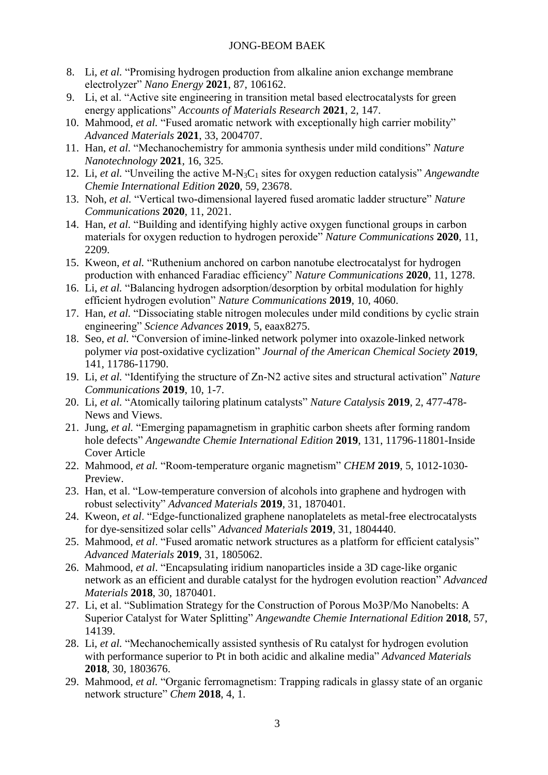## JONG-BEOM BAEK

- 8. Li, *et al.* "Promising hydrogen production from alkaline anion exchange membrane electrolyzer" *Nano Energy* **2021**, 87, 106162.
- 9. Li, et al. "Active site engineering in transition metal based electrocatalysts for green energy applications" *Accounts of Materials Research* **2021**, 2, 147.
- 10. Mahmood, *et al.* "Fused aromatic network with exceptionally high carrier mobility" *Advanced Materials* **2021**, 33, 2004707.
- 11. Han, *et al.* "Mechanochemistry for ammonia synthesis under mild conditions" *Nature Nanotechnology* **2021**, 16, 325.
- 12. Li, *et al.* "Unveiling the active M-N3C<sup>1</sup> sites for oxygen reduction catalysis" *Angewandte Chemie International Edition* **2020**, 59, 23678.
- 13. Noh, *et al.* "Vertical two-dimensional layered fused aromatic ladder structure" *Nature Communications* **2020**, 11, 2021.
- 14. Han, *et al.* "Building and identifying highly active oxygen functional groups in carbon materials for oxygen reduction to hydrogen peroxide" *Nature Communications* **2020**, 11, 2209.
- 15. Kweon, *et al.* "Ruthenium anchored on carbon nanotube electrocatalyst for hydrogen production with enhanced Faradiac efficiency" *Nature Communications* **2020**, 11, 1278.
- 16. Li, *et al.* "Balancing hydrogen adsorption/desorption by orbital modulation for highly efficient hydrogen evolution" *Nature Communications* **2019**, 10, 4060.
- 17. Han, *et al.* "Dissociating stable nitrogen molecules under mild conditions by cyclic strain engineering" *Science Advances* **2019**, 5, eaax8275.
- 18. Seo, *et al.* "Conversion of imine-linked network polymer into oxazole-linked network polymer *via* post-oxidative cyclization" *Journal of the American Chemical Society* **2019**, 141, 11786-11790.
- 19. Li, *et al.* "Identifying the structure of Zn-N2 active sites and structural activation" *Nature Communications* **2019**, 10, 1-7.
- 20. Li, *et al.* "Atomically tailoring platinum catalysts" *Nature Catalysis* **2019**, 2, 477-478- News and Views.
- 21. Jung, *et al.* "Emerging papamagnetism in graphitic carbon sheets after forming random hole defects" *Angewandte Chemie International Edition* **2019**, 131, 11796-11801-Inside Cover Article
- 22. Mahmood, *et al.* "Room-temperature organic magnetism" *CHEM* **2019**, 5, 1012-1030- Preview.
- 23. Han, et al. "Low-temperature conversion of alcohols into graphene and hydrogen with robust selectivity" *Advanced Materials* **2019**, 31, 1870401*.*
- 24. Kweon, *et al*. "Edge-functionalized graphene nanoplatelets as metal-free electrocatalysts for dye-sensitized solar cells" *Advanced Materials* **2019**, 31, 1804440.
- 25. Mahmood, *et al*. "Fused aromatic network structures as a platform for efficient catalysis" *Advanced Materials* **2019**, 31, 1805062.
- 26. Mahmood, *et al*. "Encapsulating iridium nanoparticles inside a 3D cage‐like organic network as an efficient and durable catalyst for the hydrogen evolution reaction" *Advanced Materials* **2018**, 30, 1870401*.*
- 27. Li, et al. "Sublimation Strategy for the Construction of Porous Mo3P/Mo Nanobelts: A Superior Catalyst for Water Splitting" *Angewandte Chemie International Edition* **2018**, 57, 14139.
- 28. Li, *et al.* "Mechanochemically assisted synthesis of Ru catalyst for hydrogen evolution with performance superior to Pt in both acidic and alkaline media" *Advanced Materials* **2018**, 30, 1803676.
- 29. Mahmood, *et al.* "Organic ferromagnetism: Trapping radicals in glassy state of an organic network structure" *Chem* **2018**, 4, 1.